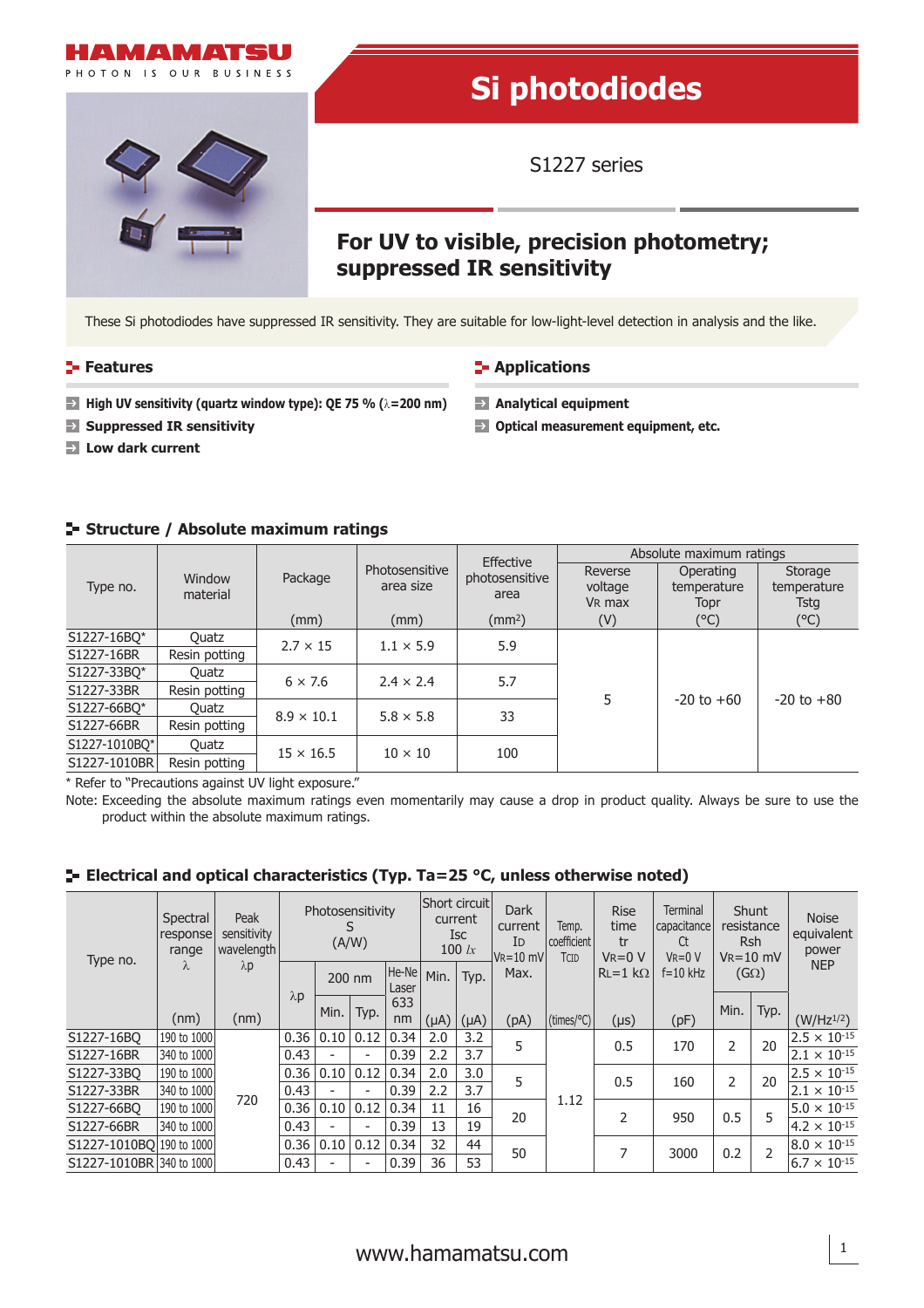

# **Si photodiodes**

S1227 series

## **For UV to visible, precision photometry; suppressed IR sensitivity**

These Si photodiodes have suppressed IR sensitivity. They are suitable for low-light-level detection in analysis and the like.

#### **Features CONSISTENT IN Applications**

- **High UV sensitivity (quartz window type): QE 75 % (λ=200 nm) Analytical equipment**
- **Suppressed IR sensitivity Optical measurement equipment, etc.**
- **Low dark current**

#### **Structure / Absolute maximum ratings**

| Type no.      | Window<br>material |                   |                             | Effective              | Absolute maximum ratings                 |                                  |                                       |  |  |
|---------------|--------------------|-------------------|-----------------------------|------------------------|------------------------------------------|----------------------------------|---------------------------------------|--|--|
|               |                    | Package           | Photosensitive<br>area size | photosensitive<br>area | Reverse<br>voltage<br>V <sub>R</sub> max | Operating<br>temperature<br>Topr | Storage<br>temperature<br><b>Tstg</b> |  |  |
|               |                    | (mm)              | (mm)                        | (mm <sup>2</sup> )     | (V)                                      | $(^{\circ}C)$                    | (°C)                                  |  |  |
| S1227-16BO*   | Quatz              | $2.7 \times 15$   | $1.1 \times 5.9$            | 5.9                    |                                          |                                  | $-20$ to $+80$                        |  |  |
| S1227-16BR    | Resin potting      |                   |                             |                        |                                          |                                  |                                       |  |  |
| S1227-33BO*   | Ouatz              | $6 \times 7.6$    | $2.4 \times 2.4$            | 5.7                    |                                          |                                  |                                       |  |  |
| S1227-33BR    | Resin potting      |                   |                             |                        | 5                                        |                                  |                                       |  |  |
| S1227-66BO*   | Quatz              | $8.9 \times 10.1$ | $5.8 \times 5.8$            | 33                     |                                          | $-20$ to $+60$                   |                                       |  |  |
| S1227-66BR    | Resin potting      |                   |                             |                        |                                          |                                  |                                       |  |  |
| S1227-1010BO* | Ouatz              |                   | $10 \times 10$              |                        |                                          |                                  |                                       |  |  |
| S1227-1010BR  | Resin potting      | $15 \times 16.5$  |                             | 100                    |                                          |                                  |                                       |  |  |
|               |                    |                   |                             |                        |                                          |                                  |                                       |  |  |

\* Refer to "Precautions against UV light exposure."

Note: Exceeding the absolute maximum ratings even momentarily may cause a drop in product quality. Always be sure to use the product within the absolute maximum ratings.

| Type no.                 | Spectral<br>response<br>range<br>λ | Peak<br>sensitivity<br>wavelength<br>$\lambda p$<br>(nm) | Photosensitivity<br>(A/W) |                          |                          | Short circuit <br>current<br><b>ISC</b><br>100 $lx$ |           | <b>Dark</b><br>current<br>ID<br>$ V_{R}=10$ mV | Temp.<br>coefficient<br>TCID | <b>Rise</b><br>time<br>tr<br>$V = 0 V$ | <b>Terminal</b><br>capacitance<br>Ct<br>$V = 0 V$ | <b>Shunt</b><br>resistance<br>Rsh<br>$V_R = 10$ mV |      | <b>Noise</b><br>equivalent<br>power |                       |
|--------------------------|------------------------------------|----------------------------------------------------------|---------------------------|--------------------------|--------------------------|-----------------------------------------------------|-----------|------------------------------------------------|------------------------------|----------------------------------------|---------------------------------------------------|----------------------------------------------------|------|-------------------------------------|-----------------------|
|                          |                                    |                                                          | $\lambda$ p               |                          | 200 nm                   | He-Ne<br>Laser                                      | Min.      | Typ.                                           | Max.                         |                                        | $RL = 1$ kΩ                                       | $f = 10$ kHz                                       |      | $(G\Omega)$                         | <b>NEP</b>            |
|                          | (nm)                               |                                                          |                           | Min.                     | Typ.                     | 633<br>nm                                           | $(\mu A)$ | $(\mu A)$                                      | (pA)                         | (times/°C)                             | $(\mu s)$                                         | (pF)                                               | Min. | Typ.                                | $(W/Hz^{1/2})$        |
| S1227-16BO               | 190 to 1000                        | 720                                                      | 0.36                      | 0.10   0.12              |                          | 0.34                                                | 2.0       | 3.2                                            |                              |                                        |                                                   | 170                                                | 2    | 20                                  | $2.5 \times 10^{-15}$ |
| S1227-16BR               | 340 to 1000                        |                                                          | 0.43                      | $\overline{\phantom{0}}$ | $\overline{\phantom{a}}$ | 0.39                                                | 2.2       | 3.7                                            | 5                            | 1.12                                   | 0.5                                               |                                                    |      |                                     | $2.1 \times 10^{-15}$ |
| S1227-33BO               | 190 to 1000                        |                                                          | 0.36                      | 0.10                     | 0.12                     | 0.34                                                | 2.0       | 3.0                                            | 5                            |                                        |                                                   |                                                    | 2    | 20                                  | $2.5 \times 10^{-15}$ |
| S1227-33BR               | 340 to 1000                        |                                                          | 0.43                      |                          | ٠                        | 0.39                                                | 2.2       | 3.7                                            |                              |                                        | 0.5                                               | 160                                                |      |                                     | $2.1 \times 10^{-15}$ |
| S1227-66BO               | 190 to 1000                        |                                                          | 0.36                      | 0.10   0.12              |                          | 0.34                                                | 11        | 16                                             | 20                           |                                        |                                                   | 950                                                | 0.5  | 5                                   | $5.0 \times 10^{-15}$ |
| S1227-66BR               | 340 to 1000                        |                                                          | 0.43                      | $\overline{\phantom{0}}$ | $\overline{\phantom{a}}$ | 0.39                                                | 13        | 19                                             |                              |                                        |                                                   |                                                    |      |                                     | $4.2 \times 10^{-15}$ |
| S1227-1010BO 190 to 1000 |                                    |                                                          | 0.36                      | 0.10   0.12              |                          | 0.34                                                | 32        | 44                                             | 50                           |                                        | 7                                                 | 3000                                               | 0.2  | 2                                   | $8.0 \times 10^{-15}$ |
| S1227-1010BR 340 to 1000 |                                    |                                                          | 0.43                      |                          | $\overline{\phantom{a}}$ | 0.39                                                | 36        | 53                                             |                              |                                        |                                                   |                                                    |      |                                     | $6.7 \times 10^{-15}$ |

### **E-** Electrical and optical characteristics (Typ. Ta=25 °C, unless otherwise noted)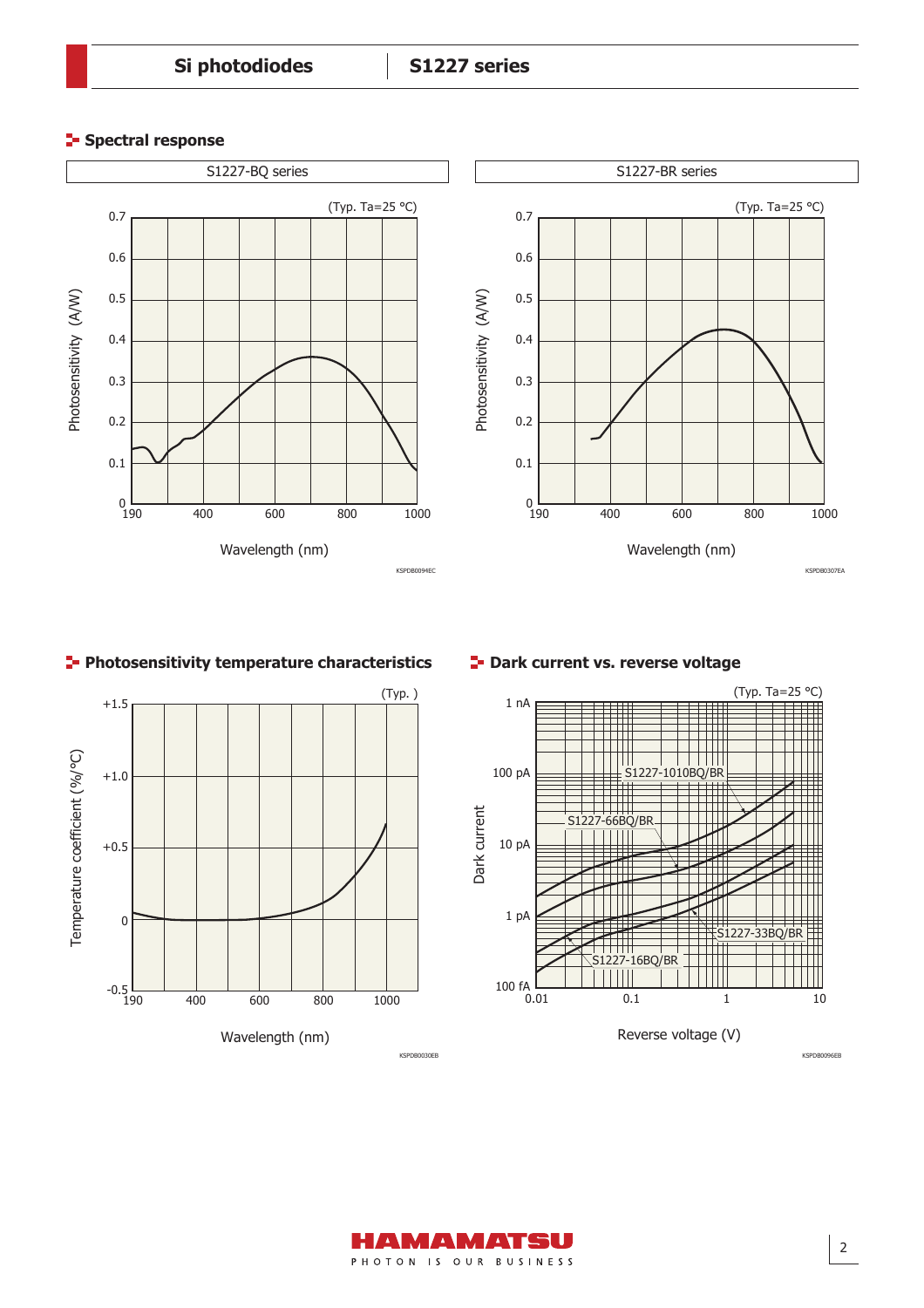#### **Spectral response**



#### **Photosensitivity temperature characteristics**



#### **P** Dark current vs. reverse voltage



KSPDB0096EB

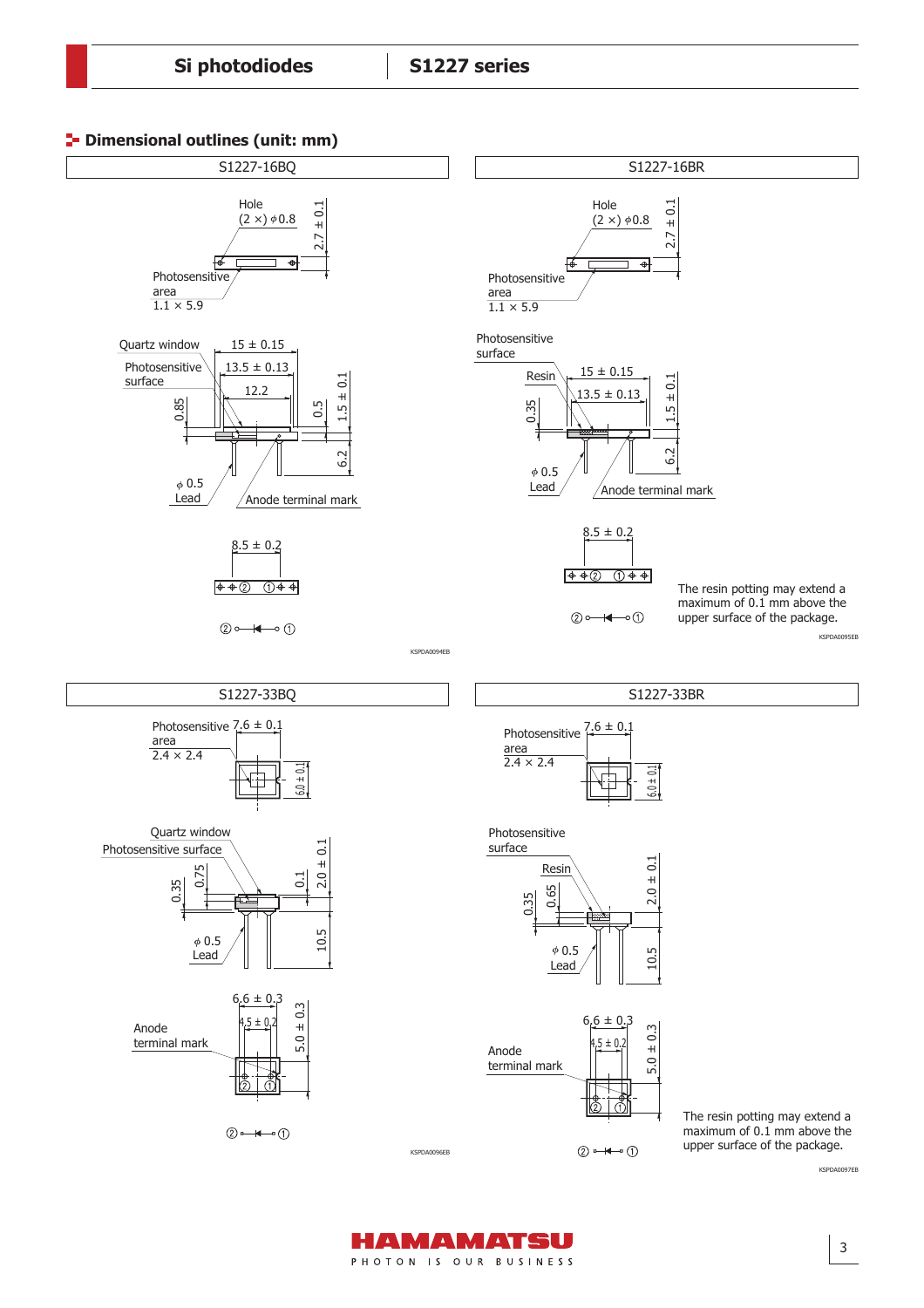



HAMAMATSU PHOTON IS OUR BUSINESS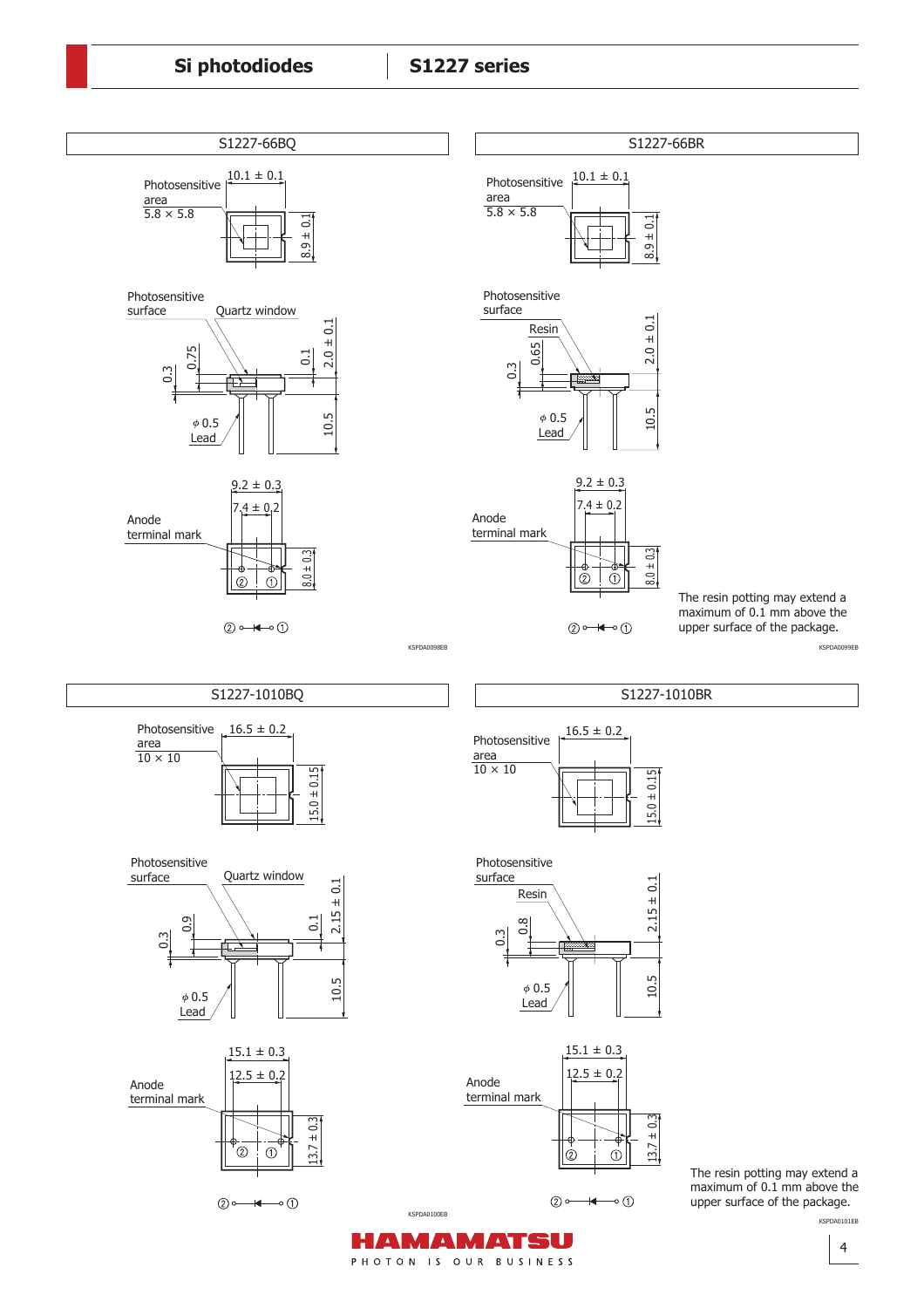

upper surface of the package.

KSPDA0101EB

KSPDA0100EB